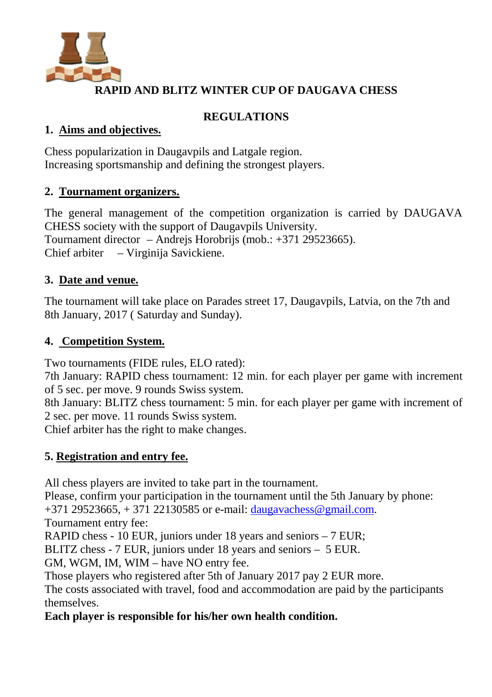

# **RAPID AND BLITZ WINTER CUP OF DAUGAVA CHESS**

# **REGULATIONS**

# **1. Aims and objectives.**

Chess popularization in Daugavpils and Latgale region. Increasing sportsmanship and defining the strongest players.

# **2. Tournament organizers.**

The general management of the competition organization is carried by DAUGAVA CHESS society with the support of Daugavpils University. Tournament director – Andrejs Horobrijs (mob.: +371 29523665). Chief arbiter – Virginija Savickiene.

# **3. Date and venue.**

The tournament will take place on Parades street 17, Daugavpils, Latvia, on the 7th and 8th January, 2017 ( Saturday and Sunday).

# **4. Competition System.**

Two tournaments (FIDE rules, ELO rated):

7th January: RAPID chess tournament: 12 min. for each player per game with increment of 5 sec. per move. 9 rounds Swiss system.

8th January: BLITZ chess tournament: 5 min. for each player per game with increment of 2 sec. per move. 11 rounds Swiss system.

Chief arbiter has the right to make changes.

# **5. Registration and entry fee.**

All chess players are invited to take part in the tournament.

Please, confirm your participation in the tournament until the 5th January by phone: +371 29523665, + 371 22130585 or e-mail: daugavachess@gmail.com.

Tournament entry fee:

RAPID chess - 10 EUR, juniors under 18 years and seniors – 7 EUR;

BLITZ chess - 7 EUR, juniors under 18 years and seniors – 5 EUR.

GM, WGM, IM, WIM – have NO entry fee.

Those players who registered after 5th of January 2017 pay 2 EUR more.

The costs associated with travel, food and accommodation are paid by the participants themselves.

# **Each player is responsible for his/her own health condition.**